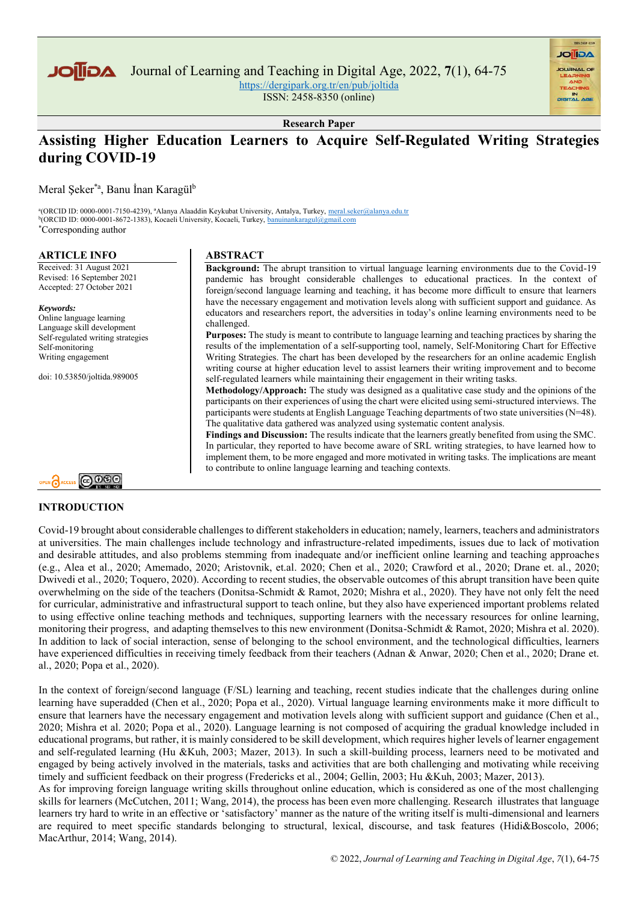

Journal of Learning and Teaching in Digital Age, 2022, **7**(1), 64-75

<https://dergipark.org.tr/en/pub/joltida>

ISSN: 2458-8350 (online)

**AGIIOL** 

**Research Paper**

# **Assisting Higher Education Learners to Acquire Self-Regulated Writing Strategies during COVID-19**

**Background:** The abrupt transition to virtual language learning environments due to the Covid-19 pandemic has brought considerable challenges to educational practices. In the context of foreign/second language learning and teaching, it has become more difficult to ensure that learners have the necessary engagement and motivation levels along with sufficient support and guidance. As educators and researchers report, the adversities in today's online learning environments need to be

**Purposes:** The study is meant to contribute to language learning and teaching practices by sharing the results of the implementation of a self-supporting tool, namely, Self-Monitoring Chart for Effective Writing Strategies. The chart has been developed by the researchers for an online academic English writing course at higher education level to assist learners their writing improvement and to become

**Methodology/Approach:** The study was designed as a qualitative case study and the opinions of the participants on their experiences of using the chart were elicited using semi-structured interviews. The participants were students at English Language Teaching departments of two state universities (N=48).

**Findings and Discussion:** The results indicate that the learners greatly benefited from using the SMC. In particular, they reported to have become aware of SRL writing strategies, to have learned how to implement them, to be more engaged and more motivated in writing tasks. The implications are meant

self-regulated learners while maintaining their engagement in their writing tasks.

The qualitative data gathered was analyzed using systematic content analysis.

Meral Şeker\*a, Banu İnan Karagül<sup>b</sup>

<sup>a</sup>(ORCID ID: 0000-0001-7150-4239), <sup>a</sup>Alanya Alaaddin Keykubat University, Antalya, Turkey, meral.seker@alanya.edu.tr <sup>b</sup>(ORCID ID: 0000-0001-8672-1383), Kocaeli University, Kocaeli, Turkey[, banuinankaragul@gmail.com](mailto:banuinankaragul@gmail.com) \*Corresponding author

**ABSTRACT** 

challenged.

#### **ARTICLE INFO**

Received: 31 August 2021 Revised: 16 September 2021 Accepted: 27 October 2021

#### *Keywords:*

Online language learning Language skill development Self-regulated writing strategies Self-monitoring Writing engagement

doi: 10.53850/joltida.989005



#### **INTRODUCTION**

#### Covid-19 brought about considerable challenges to different stakeholders in education; namely, learners, teachers and administrators at universities. The main challenges include technology and infrastructure-related impediments, issues due to lack of motivation and desirable attitudes, and also problems stemming from inadequate and/or inefficient online learning and teaching approaches (e.g., Alea et al., 2020; Amemado, 2020; Aristovnik, et.al. 2020; Chen et al., 2020; Crawford et al., 2020; Drane et. al., 2020; Dwivedi et al., 2020; Toquero, 2020). According to recent studies, the observable outcomes of this abrupt transition have been quite overwhelming on the side of the teachers (Donitsa-Schmidt & Ramot, 2020; Mishra et al., 2020). They have not only felt the need for curricular, administrative and infrastructural support to teach online, but they also have experienced important problems related to using effective online teaching methods and techniques, supporting learners with the necessary resources for online learning, monitoring their progress, and adapting themselves to this new environment (Donitsa-Schmidt & Ramot, 2020; Mishra et al. 2020). In addition to lack of social interaction, sense of belonging to the school environment, and the technological difficulties, learners have experienced difficulties in receiving timely feedback from their teachers (Adnan & Anwar, 2020; Chen et al., 2020; Drane et. al., 2020; Popa et al., 2020).

to contribute to online language learning and teaching contexts.

In the context of foreign/second language (F/SL) learning and teaching, recent studies indicate that the challenges during online learning have superadded (Chen et al., 2020; Popa et al., 2020). Virtual language learning environments make it more difficult to ensure that learners have the necessary engagement and motivation levels along with sufficient support and guidance (Chen et al., 2020; Mishra et al. 2020; Popa et al., 2020). Language learning is not composed of acquiring the gradual knowledge included in educational programs, but rather, it is mainly considered to be skill development, which requires higher levels of learner engagement and self-regulated learning (Hu &Kuh, 2003; Mazer, 2013). In such a skill-building process, learners need to be motivated and engaged by being actively involved in the materials, tasks and activities that are both challenging and motivating while receiving timely and sufficient feedback on their progress (Fredericks et al., 2004; Gellin, 2003; Hu &Kuh, 2003; Mazer, 2013).

As for improving foreign language writing skills throughout online education, which is considered as one of the most challenging skills for learners (McCutchen, 2011; Wang, 2014), the process has been even more challenging. Research illustrates that language learners try hard to write in an effective or 'satisfactory' manner as the nature of the writing itself is multi-dimensional and learners are required to meet specific standards belonging to structural, lexical, discourse, and task features (Hidi&Boscolo, 2006; MacArthur, 2014; Wang, 2014).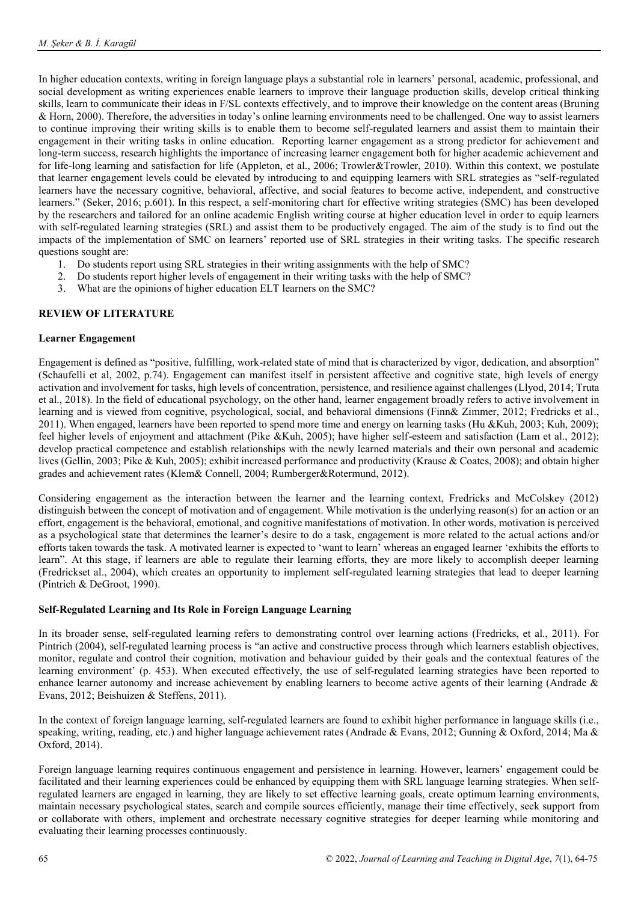In higher education contexts, writing in foreign language plays a substantial role in learners' personal, academic, professional, and social development as writing experiences enable learners to improve their language production skills, develop critical thinking skills, learn to communicate their ideas in F/SL contexts effectively, and to improve their knowledge on the content areas (Bruning & Horn, 2000). Therefore, the adversities in today's online learning environments need to be challenged. One way to assist learners to continue improving their writing skills is to enable them to become self-regulated learners and assist them to maintain their engagement in their writing tasks in online education. Reporting learner engagement as a strong predictor for achievement and long-term success, research highlights the importance of increasing learner engagement both for higher academic achievement and for life-long learning and satisfaction for life (Appleton, et al., 2006; Trowler&Trowler, 2010). Within this context, we postulate that learner engagement levels could be elevated by introducing to and equipping learners with SRL strategies as "self-regulated learners have the necessary cognitive, behavioral, affective, and social features to become active, independent, and constructive learners." (Seker, 2016; p.601). In this respect, a self-monitoring chart for effective writing strategies (SMC) has been developed by the researchers and tailored for an online academic English writing course at higher education level in order to equip learners with self-regulated learning strategies (SRL) and assist them to be productively engaged. The aim of the study is to find out the impacts of the implementation of SMC on learners' reported use of SRL strategies in their writing tasks. The specific research questions sought are:

- 1. Do students report using SRL strategies in their writing assignments with the help of SMC?
- 2. Do students report higher levels of engagement in their writing tasks with the help of SMC?
- 3. What are the opinions of higher education ELT learners on the SMC?

## **REVIEW OF LITERATURE**

## **Learner Engagement**

Engagement is defined as "positive, fulfilling, work-related state of mind that is characterized by vigor, dedication, and absorption" (Schaufelli et al, 2002, p.74). Engagement can manifest itself in persistent affective and cognitive state, high levels of energy activation and involvement for tasks, high levels of concentration, persistence, and resilience against challenges (Llyod, 2014; Truta et al., 2018). In the field of educational psychology, on the other hand, learner engagement broadly refers to active involvement in learning and is viewed from cognitive, psychological, social, and behavioral dimensions (Finn& Zimmer, 2012; Fredricks et al., 2011). When engaged, learners have been reported to spend more time and energy on learning tasks (Hu &Kuh, 2003; Kuh, 2009); feel higher levels of enjoyment and attachment (Pike &Kuh, 2005); have higher self-esteem and satisfaction (Lam et al., 2012); develop practical competence and establish relationships with the newly learned materials and their own personal and academic lives (Gellin, 2003; Pike & Kuh, 2005); exhibit increased performance and productivity (Krause & Coates, 2008); and obtain higher grades and achievement rates (Klem& Connell, 2004; Rumberger&Rotermund, 2012).

Considering engagement as the interaction between the learner and the learning context, Fredricks and McColskey (2012) distinguish between the concept of motivation and of engagement. While motivation is the underlying reason(s) for an action or an effort, engagement is the behavioral, emotional, and cognitive manifestations of motivation. In other words, motivation is perceived as a psychological state that determines the learner's desire to do a task, engagement is more related to the actual actions and/or efforts taken towards the task. A motivated learner is expected to 'want to learn' whereas an engaged learner 'exhibits the efforts to learn". At this stage, if learners are able to regulate their learning efforts, they are more likely to accomplish deeper learning (Fredrickset al., 2004), which creates an opportunity to implement self-regulated learning strategies that lead to deeper learning (Pintrich & DeGroot, 1990).

#### **Self-Regulated Learning and Its Role in Foreign Language Learning**

In its broader sense, self-regulated learning refers to demonstrating control over learning actions (Fredricks, et al., 2011). For Pintrich (2004), self-regulated learning process is "an active and constructive process through which learners establish objectives, monitor, regulate and control their cognition, motivation and behaviour guided by their goals and the contextual features of the learning environment' (p. 453). When executed effectively, the use of self-regulated learning strategies have been reported to enhance learner autonomy and increase achievement by enabling learners to become active agents of their learning (Andrade & Evans, 2012; Beishuizen & Steffens, 2011).

In the context of foreign language learning, self-regulated learners are found to exhibit higher performance in language skills (i.e., speaking, writing, reading, etc.) and higher language achievement rates (Andrade & Evans, 2012; Gunning & Oxford, 2014; Ma & Oxford, 2014).

Foreign language learning requires continuous engagement and persistence in learning. However, learners' engagement could be facilitated and their learning experiences could be enhanced by equipping them with SRL language learning strategies. When selfregulated learners are engaged in learning, they are likely to set effective learning goals, create optimum learning environments, maintain necessary psychological states, search and compile sources efficiently, manage their time effectively, seek support from or collaborate with others, implement and orchestrate necessary cognitive strategies for deeper learning while monitoring and evaluating their learning processes continuously.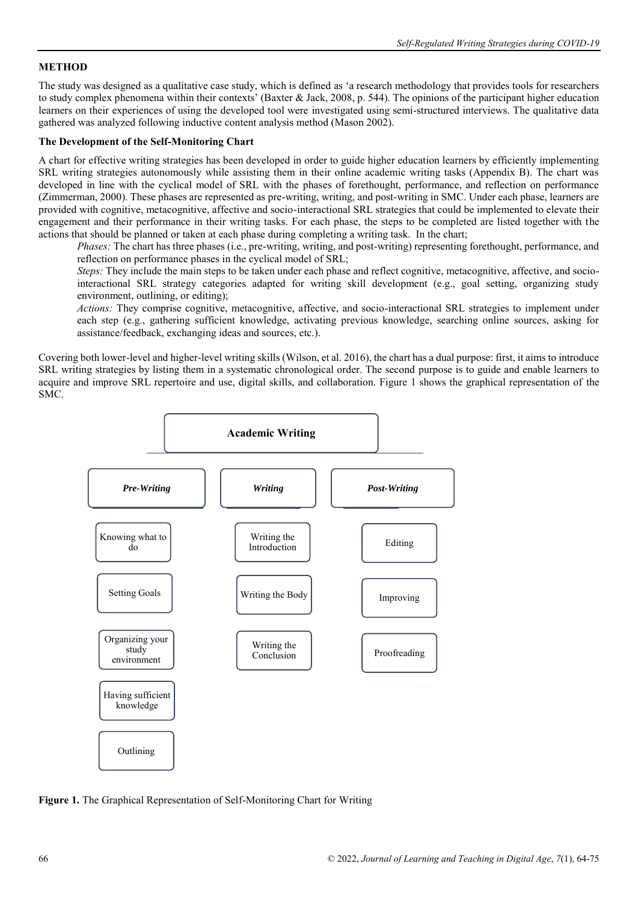## **METHOD**

The study was designed as a qualitative case study, which is defined as 'a research methodology that provides tools for researchers to study complex phenomena within their contexts' (Baxter & Jack, 2008, p. 544). The opinions of the participant higher education learners on their experiences of using the developed tool were investigated using semi-structured interviews. The qualitative data gathered was analyzed following inductive content analysis method (Mason 2002).

## **The Development of the Self-Monitoring Chart**

A chart for effective writing strategies has been developed in order to guide higher education learners by efficiently implementing SRL writing strategies autonomously while assisting them in their online academic writing tasks (Appendix B). The chart was developed in line with the cyclical model of SRL with the phases of forethought, performance, and reflection on performance (Zimmerman, 2000). These phases are represented as pre-writing, writing, and post-writing in SMC. Under each phase, learners are provided with cognitive, metacognitive, affective and socio-interactional SRL strategies that could be implemented to elevate their engagement and their performance in their writing tasks. For each phase, the steps to be completed are listed together with the actions that should be planned or taken at each phase during completing a writing task. In the chart;

*Phases:* The chart has three phases (i.e., pre-writing, writing, and post-writing) representing forethought, performance, and reflection on performance phases in the cyclical model of SRL;

*Steps:* They include the main steps to be taken under each phase and reflect cognitive, metacognitive, affective, and sociointeractional SRL strategy categories adapted for writing skill development (e.g., goal setting, organizing study environment, outlining, or editing);

*Actions:* They comprise cognitive, metacognitive, affective, and socio-interactional SRL strategies to implement under each step (e.g., gathering sufficient knowledge, activating previous knowledge, searching online sources, asking for assistance/feedback, exchanging ideas and sources, etc.).

Covering both lower-level and higher-level writing skills (Wilson, et al. 2016), the chart has a dual purpose: first, it aims to introduce SRL writing strategies by listing them in a systematic chronological order. The second purpose is to guide and enable learners to acquire and improve SRL repertoire and use, digital skills, and collaboration. Figure 1 shows the graphical representation of the SMC.



**Figure 1.** The Graphical Representation of Self-Monitoring Chart for Writing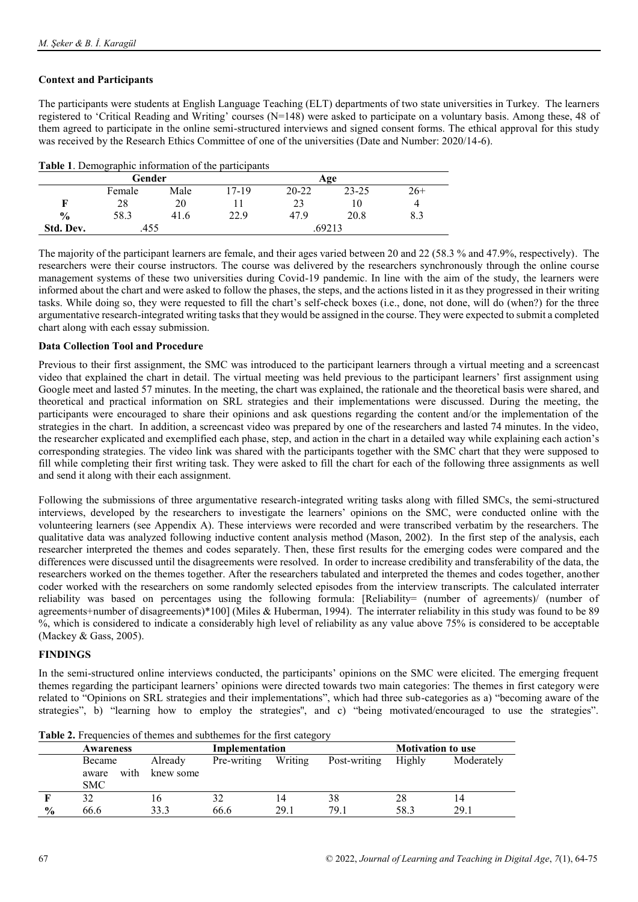## **Context and Participants**

The participants were students at English Language Teaching (ELT) departments of two state universities in Turkey. The learners registered to 'Critical Reading and Writing' courses (N=148) were asked to participate on a voluntary basis. Among these, 48 of them agreed to participate in the online semi-structured interviews and signed consent forms. The ethical approval for this study was received by the Research Ethics Committee of one of the universities (Date and Number: 2020/14-6).

|               | Gender |      |          |       | Age       |       |
|---------------|--------|------|----------|-------|-----------|-------|
|               | Female | Male | $7 - 19$ | 20-22 | $23 - 25$ | $26+$ |
|               | 28     | 20   |          | ر ے   | 10        | 4     |
| $\frac{0}{0}$ | 58.3   | 41.6 | 22.9     | 47.9  | 20.8      | 8.3   |
| Std. Dev.     | .455   |      |          |       | .69213    |       |

The majority of the participant learners are female, and their ages varied between 20 and 22 (58.3 % and 47.9%, respectively). The researchers were their course instructors. The course was delivered by the researchers synchronously through the online course management systems of these two universities during Covid-19 pandemic. In line with the aim of the study, the learners were informed about the chart and were asked to follow the phases, the steps, and the actions listed in it as they progressed in their writing tasks. While doing so, they were requested to fill the chart's self-check boxes (i.e., done, not done, will do (when?) for the three argumentative research-integrated writing tasks that they would be assigned in the course. They were expected to submit a completed chart along with each essay submission.

## **Data Collection Tool and Procedure**

Previous to their first assignment, the SMC was introduced to the participant learners through a virtual meeting and a screencast video that explained the chart in detail. The virtual meeting was held previous to the participant learners' first assignment using Google meet and lasted 57 minutes. In the meeting, the chart was explained, the rationale and the theoretical basis were shared, and theoretical and practical information on SRL strategies and their implementations were discussed. During the meeting, the participants were encouraged to share their opinions and ask questions regarding the content and/or the implementation of the strategies in the chart. In addition, a screencast video was prepared by one of the researchers and lasted 74 minutes. In the video, the researcher explicated and exemplified each phase, step, and action in the chart in a detailed way while explaining each action's corresponding strategies. The video link was shared with the participants together with the SMC chart that they were supposed to fill while completing their first writing task. They were asked to fill the chart for each of the following three assignments as well and send it along with their each assignment.

Following the submissions of three argumentative research-integrated writing tasks along with filled SMCs, the semi-structured interviews, developed by the researchers to investigate the learners' opinions on the SMC, were conducted online with the volunteering learners (see Appendix A). These interviews were recorded and were transcribed verbatim by the researchers. The qualitative data was analyzed following inductive content analysis method (Mason, 2002). In the first step of the analysis, each researcher interpreted the themes and codes separately. Then, these first results for the emerging codes were compared and the differences were discussed until the disagreements were resolved. In order to increase credibility and transferability of the data, the researchers worked on the themes together. After the researchers tabulated and interpreted the themes and codes together, another coder worked with the researchers on some randomly selected episodes from the interview transcripts. The calculated interrater reliability was based on percentages using the following formula: [Reliability= (number of agreements)/ (number of agreements+number of disagreements)\*100] (Miles & Huberman, 1994). The interrater reliability in this study was found to be 89 %, which is considered to indicate a considerably high level of reliability as any value above 75% is considered to be acceptable (Mackey & Gass, 2005).

## **FINDINGS**

In the semi-structured online interviews conducted, the participants' opinions on the SMC were elicited. The emerging frequent themes regarding the participant learners' opinions were directed towards two main categories: The themes in first category were related to "Opinions on SRL strategies and their implementations", which had three sub-categories as a) "becoming aware of the strategies", b) "learning how to employ the strategies'', and c) "being motivated/encouraged to use the strategies".

|               | Awareness     | Implementation |             |         | <b>Motivation to use</b> |      |            |  |
|---------------|---------------|----------------|-------------|---------|--------------------------|------|------------|--|
|               | Became        | Already        | Pre-writing | Writing | Post-writing<br>Highly   |      | Moderately |  |
|               | with<br>aware | knew some      |             |         |                          |      |            |  |
|               | <b>SMC</b>    |                |             |         |                          |      |            |  |
|               |               | 16             | 32          | 14      | 38                       | 28   | 14         |  |
| $\frac{0}{0}$ | 66.6          | 33.3           | 66.6        | 29.1    | 79.1                     | 58.3 | 29.1       |  |

**Table 2.** Frequencies of themes and subthemes for the first category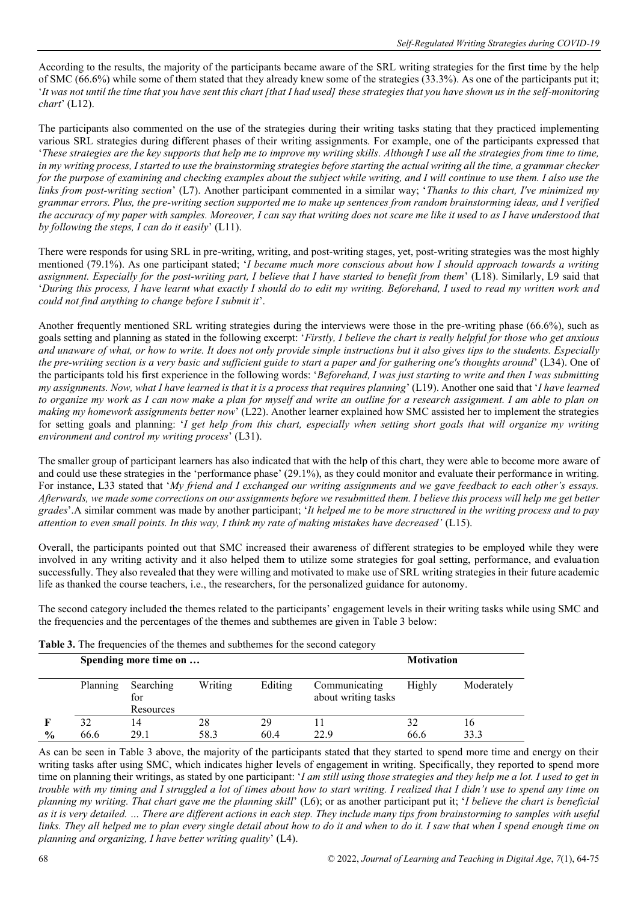According to the results, the majority of the participants became aware of the SRL writing strategies for the first time by the help of SMC (66.6%) while some of them stated that they already knew some of the strategies (33.3%). As one of the participants put it; '*It was not until the time that you have sent this chart [that I had used] these strategies that you have shown us in the self-monitoring chart*' (L12).

The participants also commented on the use of the strategies during their writing tasks stating that they practiced implementing various SRL strategies during different phases of their writing assignments. For example, one of the participants expressed that '*These strategies are the key supports that help me to improve my writing skills. Although I use all the strategies from time to time, in my writing process, I started to use the brainstorming strategies before starting the actual writing all the time, a grammar checker for the purpose of examining and checking examples about the subject while writing, and I will continue to use them. I also use the links from post-writing section*' (L7). Another participant commented in a similar way; '*Thanks to this chart, I've minimized my grammar errors. Plus, the pre-writing section supported me to make up sentences from random brainstorming ideas, and I verified the accuracy of my paper with samples. Moreover, I can say that writing does not scare me like it used to as I have understood that by following the steps, I can do it easily*' (L11).

There were responds for using SRL in pre-writing, writing, and post-writing stages, yet, post-writing strategies was the most highly mentioned (79.1%). As one participant stated; '*I became much more conscious about how I should approach towards a writing assignment. Especially for the post-writing part, I believe that I have started to benefit from them*' (L18). Similarly, L9 said that '*During this process, I have learnt what exactly I should do to edit my writing. Beforehand, I used to read my written work and could not find anything to change before I submit it*'.

Another frequently mentioned SRL writing strategies during the interviews were those in the pre-writing phase (66.6%), such as goals setting and planning as stated in the following excerpt: '*Firstly, I believe the chart is really helpful for those who get anxious and unaware of what, or how to write. It does not only provide simple instructions but it also gives tips to the students. Especially the pre-writing section is a very basic and sufficient guide to start a paper and for gathering one's thoughts around*' (L34). One of the participants told his first experience in the following words: '*Beforehand, I was just starting to write and then I was submitting my assignments. Now, what I have learned is that it is a process that requires planning*' (L19). Another one said that '*I have learned to organize my work as I can now make a plan for myself and write an outline for a research assignment. I am able to plan on making my homework assignments better now*' (L22). Another learner explained how SMC assisted her to implement the strategies for setting goals and planning: '*I get help from this chart, especially when setting short goals that will organize my writing environment and control my writing process*' (L31).

The smaller group of participant learners has also indicated that with the help of this chart, they were able to become more aware of and could use these strategies in the 'performance phase' (29.1%), as they could monitor and evaluate their performance in writing. For instance, L33 stated that '*My friend and I exchanged our writing assignments and we gave feedback to each other's essays. Afterwards, we made some corrections on our assignments before we resubmitted them. I believe this process will help me get better grades*'.A similar comment was made by another participant; '*It helped me to be more structured in the writing process and to pay attention to even small points. In this way, I think my rate of making mistakes have decreased'* (L15).

Overall, the participants pointed out that SMC increased their awareness of different strategies to be employed while they were involved in any writing activity and it also helped them to utilize some strategies for goal setting, performance, and evaluation successfully. They also revealed that they were willing and motivated to make use of SRL writing strategies in their future academic life as thanked the course teachers, i.e., the researchers, for the personalized guidance for autonomy.

The second category included the themes related to the participants' engagement levels in their writing tasks while using SMC and the frequencies and the percentages of the themes and subthemes are given in Table 3 below:

|               | <b>Table 5.</b> The hequencies of the themes and subthemes for the second category |                               |                   |            |                                      |            |            |  |  |  |
|---------------|------------------------------------------------------------------------------------|-------------------------------|-------------------|------------|--------------------------------------|------------|------------|--|--|--|
|               |                                                                                    | Spending more time on         | <b>Motivation</b> |            |                                      |            |            |  |  |  |
|               | Planning                                                                           | Searching<br>for<br>Resources | Writing           | Editing    | Communicating<br>about writing tasks | Highly     | Moderately |  |  |  |
| $\frac{0}{0}$ | 32<br>66.6                                                                         | 29.1                          | 28<br>58.3        | 29<br>60.4 | 22.9                                 | 32<br>66.6 | 16<br>33.3 |  |  |  |

| Table 3. The frequencies of the themes and subthemes for the second category |  |  |  |  |
|------------------------------------------------------------------------------|--|--|--|--|
|------------------------------------------------------------------------------|--|--|--|--|

As can be seen in Table 3 above, the majority of the participants stated that they started to spend more time and energy on their writing tasks after using SMC, which indicates higher levels of engagement in writing. Specifically, they reported to spend more time on planning their writings, as stated by one participant: '*I am still using those strategies and they help me a lot. I used to get in trouble with my timing and I struggled a lot of times about how to start writing. I realized that I didn't use to spend any time on planning my writing. That chart gave me the planning skill*' (L6); or as another participant put it; '*I believe the chart is beneficial as it is very detailed. … There are different actions in each step. They include many tips from brainstorming to samples with useful links. They all helped me to plan every single detail about how to do it and when to do it. I saw that when I spend enough time on planning and organizing, I have better writing quality*' (L4).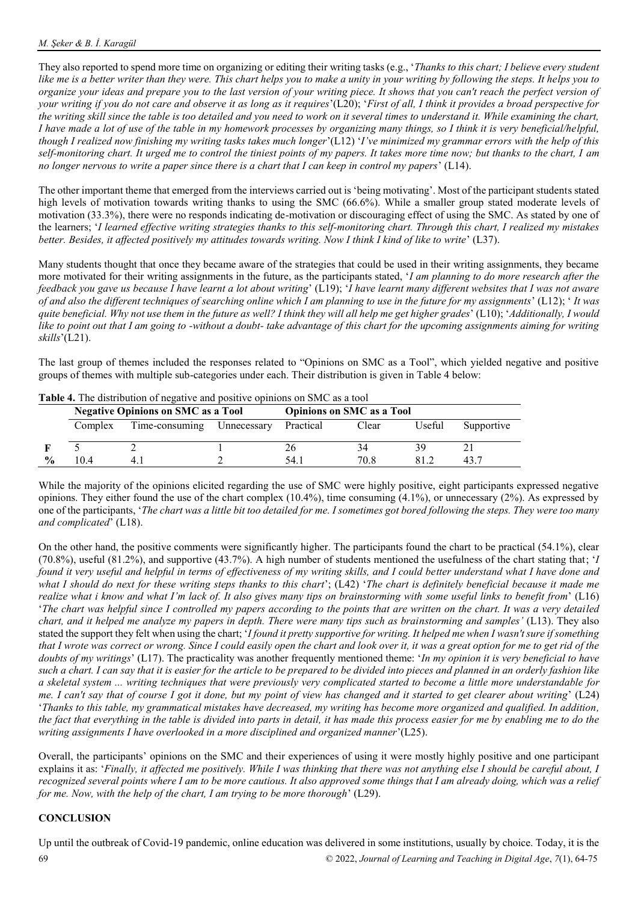They also reported to spend more time on organizing or editing their writing tasks (e.g., '*Thanks to this chart; I believe every student like me is a better writer than they were. This chart helps you to make a unity in your writing by following the steps. It helps you to organize your ideas and prepare you to the last version of your writing piece. It shows that you can't reach the perfect version of your writing if you do not care and observe it as long as it requires*'(L20); '*First of all, I think it provides a broad perspective for the writing skill since the table is too detailed and you need to work on it several times to understand it. While examining the chart, I have made a lot of use of the table in my homework processes by organizing many things, so I think it is very beneficial/helpful, though I realized now finishing my writing tasks takes much longer*'(L12) '*I've minimized my grammar errors with the help of this self-monitoring chart. It urged me to control the tiniest points of my papers. It takes more time now; but thanks to the chart, I am no longer nervous to write a paper since there is a chart that I can keep in control my papers*' (L14).

The other important theme that emerged from the interviews carried out is 'being motivating'. Most of the participant students stated high levels of motivation towards writing thanks to using the SMC (66.6%). While a smaller group stated moderate levels of motivation (33.3%), there were no responds indicating de-motivation or discouraging effect of using the SMC. As stated by one of the learners; '*I learned effective writing strategies thanks to this self-monitoring chart. Through this chart, I realized my mistakes better. Besides, it affected positively my attitudes towards writing. Now I think I kind of like to write*' (L37).

Many students thought that once they became aware of the strategies that could be used in their writing assignments, they became more motivated for their writing assignments in the future, as the participants stated, '*I am planning to do more research after the feedback you gave us because I have learnt a lot about writing*' (L19); '*I have learnt many different websites that I was not aware of and also the different techniques of searching online which I am planning to use in the future for my assignments*' (L12); ' *It was quite beneficial. Why not use them in the future as well? I think they will all help me get higher grades*' (L10); '*Additionally, I would*  like to point out that I am going to -without a doubt- take advantage of this chart for the upcoming assignments aiming for writing *skills*'(L21).

The last group of themes included the responses related to "Opinions on SMC as a Tool", which yielded negative and positive groups of themes with multiple sub-categories under each. Their distribution is given in Table 4 below:

|               | <b>Table 4.</b> The distribution of negative and positive opinions on sivic as a tool |                            |  |                                  |       |        |            |  |  |  |
|---------------|---------------------------------------------------------------------------------------|----------------------------|--|----------------------------------|-------|--------|------------|--|--|--|
|               | <b>Negative Opinions on SMC as a Tool</b>                                             |                            |  | <b>Opinions on SMC as a Tool</b> |       |        |            |  |  |  |
|               | Complex                                                                               | Time-consuming Unnecessary |  | Practical                        | Clear | Useful | Supportive |  |  |  |
|               |                                                                                       |                            |  |                                  |       | 39     |            |  |  |  |
| $\frac{0}{0}$ | $\overline{0}$ 4                                                                      | 4.                         |  | 54.                              | 70 8  |        |            |  |  |  |

While the majority of the opinions elicited regarding the use of SMC were highly positive, eight participants expressed negative opinions. They either found the use of the chart complex (10.4%), time consuming (4.1%), or unnecessary (2%). As expressed by one of the participants, '*The chart was a little bit too detailed for me. I sometimes got bored following the steps. They were too many and complicated*' (L18).

On the other hand, the positive comments were significantly higher. The participants found the chart to be practical (54.1%), clear (70.8%), useful (81.2%), and supportive (43.7%). A high number of students mentioned the usefulness of the chart stating that; '*I found it very useful and helpful in terms of effectiveness of my writing skills, and I could better understand what I have done and what I should do next for these writing steps thanks to this chart*'; (L42) '*The chart is definitely beneficial because it made me realize what i know and what I'm lack of. It also gives many tips on brainstorming with some useful links to benefit from*' (L16) '*The chart was helpful since I controlled my papers according to the points that are written on the chart. It was a very detailed chart, and it helped me analyze my papers in depth. There were many tips such as brainstorming and samples'* (L13). They also stated the support they felt when using the chart; '*I found it pretty supportive for writing. It helped me when I wasn't sure if something that I wrote was correct or wrong. Since I could easily open the chart and look over it, it was a great option for me to get rid of the doubts of my writings*' (L17). The practicality was another frequently mentioned theme: '*In my opinion it is very beneficial to have such a chart. I can say that it is easier for the article to be prepared to be divided into pieces and planned in an orderly fashion like a skeletal system ... writing techniques that were previously very complicated started to become a little more understandable for me. I can't say that of course I got it done, but my point of view has changed and it started to get clearer about writing*' (L24) '*Thanks to this table, my grammatical mistakes have decreased, my writing has become more organized and qualified. In addition, the fact that everything in the table is divided into parts in detail, it has made this process easier for me by enabling me to do the writing assignments I have overlooked in a more disciplined and organized manner*'(L25).

Overall, the participants' opinions on the SMC and their experiences of using it were mostly highly positive and one participant explains it as: '*Finally, it affected me positively. While I was thinking that there was not anything else I should be careful about, I recognized several points where I am to be more cautious. It also approved some things that I am already doing, which was a relief for me. Now, with the help of the chart, I am trying to be more thorough*' (L29).

# **CONCLUSION**

69 © 2022, *Journal of Learning and Teaching in Digital Age*, *7*(1), 64-75 Up until the outbreak of Covid-19 pandemic, online education was delivered in some institutions, usually by choice. Today, it is the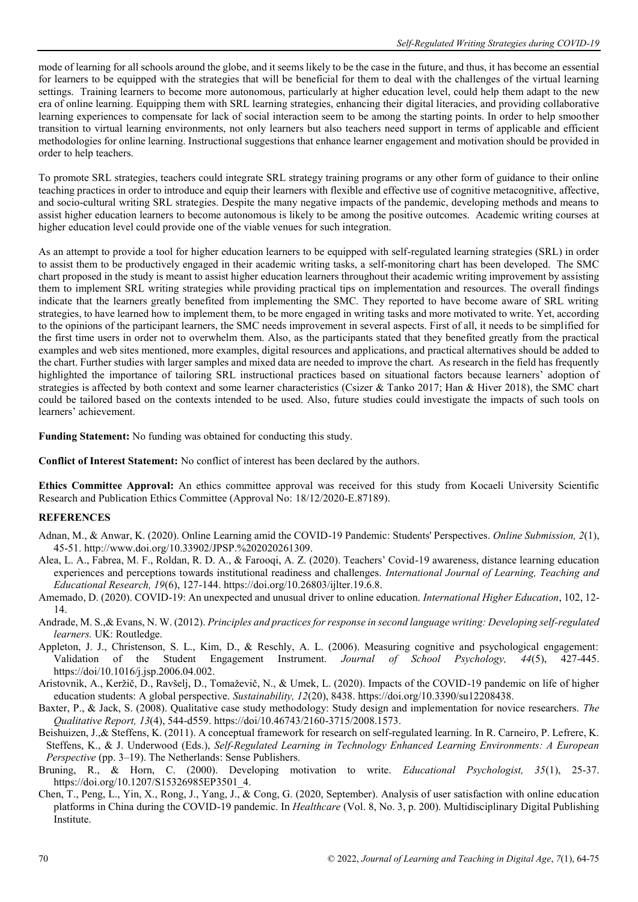mode of learning for all schools around the globe, and it seems likely to be the case in the future, and thus, it has become an essential for learners to be equipped with the strategies that will be beneficial for them to deal with the challenges of the virtual learning settings. Training learners to become more autonomous, particularly at higher education level, could help them adapt to the new era of online learning. Equipping them with SRL learning strategies, enhancing their digital literacies, and providing collaborative learning experiences to compensate for lack of social interaction seem to be among the starting points. In order to help smoother transition to virtual learning environments, not only learners but also teachers need support in terms of applicable and efficient methodologies for online learning. Instructional suggestions that enhance learner engagement and motivation should be provided in order to help teachers.

To promote SRL strategies, teachers could integrate SRL strategy training programs or any other form of guidance to their online teaching practices in order to introduce and equip their learners with flexible and effective use of cognitive metacognitive, affective, and socio-cultural writing SRL strategies. Despite the many negative impacts of the pandemic, developing methods and means to assist higher education learners to become autonomous is likely to be among the positive outcomes. Academic writing courses at higher education level could provide one of the viable venues for such integration.

As an attempt to provide a tool for higher education learners to be equipped with self-regulated learning strategies (SRL) in order to assist them to be productively engaged in their academic writing tasks, a self-monitoring chart has been developed. The SMC chart proposed in the study is meant to assist higher education learners throughout their academic writing improvement by assisting them to implement SRL writing strategies while providing practical tips on implementation and resources. The overall findings indicate that the learners greatly benefited from implementing the SMC. They reported to have become aware of SRL writing strategies, to have learned how to implement them, to be more engaged in writing tasks and more motivated to write. Yet, according to the opinions of the participant learners, the SMC needs improvement in several aspects. First of all, it needs to be simplified for the first time users in order not to overwhelm them. Also, as the participants stated that they benefited greatly from the practical examples and web sites mentioned, more examples, digital resources and applications, and practical alternatives should be added to the chart. Further studies with larger samples and mixed data are needed to improve the chart. As research in the field has frequently highlighted the importance of tailoring SRL instructional practices based on situational factors because learners' adoption of strategies is affected by both context and some learner characteristics (Csizer & Tanko 2017; Han & Hiver 2018), the SMC chart could be tailored based on the contexts intended to be used. Also, future studies could investigate the impacts of such tools on learners' achievement.

**Funding Statement:** No funding was obtained for conducting this study.

**Conflict of Interest Statement:** No conflict of interest has been declared by the authors.

**Ethics Committee Approval:** An ethics committee approval was received for this study from Kocaeli University Scientific Research and Publication Ethics Committee (Approval No: 18/12/2020-E.87189).

## **REFERENCES**

- Adnan, M., & Anwar, K. (2020). Online Learning amid the COVID-19 Pandemic: Students' Perspectives. *Online Submission, 2*(1), 45-51. http://www.doi.org/10.33902/JPSP.%202020261309.
- Alea, L. A., Fabrea, M. F., Roldan, R. D. A., & Farooqi, A. Z. (2020). Teachers' Covid-19 awareness, distance learning education experiences and perceptions towards institutional readiness and challenges. *International Journal of Learning, Teaching and Educational Research, 19*(6), 127-144. https://doi.org/10.26803/ijlter.19.6.8.
- Amemado, D. (2020). COVID-19: An unexpected and unusual driver to online education. *International Higher Education*, 102, 12- 14.
- Andrade, M. S.,& Evans, N. W. (2012). *Principles and practices for response in second language writing: Developing self-regulated learners.* UK: Routledge.
- Appleton, J. J., Christenson, S. L., Kim, D., & Reschly, A. L. (2006). Measuring cognitive and psychological engagement: Validation of the Student Engagement Instrument. *Journal of School Psychology, 44*(5), 427-445. https://doi/10.1016/j.jsp.2006.04.002.
- Aristovnik, A., Keržič, D., Ravšelj, D., Tomaževič, N., & Umek, L. (2020). Impacts of the COVID-19 pandemic on life of higher education students: A global perspective. *Sustainability, 12*(20), 8438. https://doi.org/10.3390/su12208438.
- Baxter, P., & Jack, S. (2008). Qualitative case study methodology: Study design and implementation for novice researchers. *The Qualitative Report, 13*(4), 544-d559. https://doi/10.46743/2160-3715/2008.1573.
- Beishuizen, J.,& Steffens, K. (2011). A conceptual framework for research on self-regulated learning. In R. Carneiro, P. Lefrere, K. Steffens, K., & J. Underwood (Eds.), *Self-Regulated Learning in Technology Enhanced Learning Environments: A European Perspective* (pp. 3–19). The Netherlands: Sense Publishers.
- Bruning, R., & Horn, C. (2000). Developing motivation to write. *Educational Psychologist*, 35(1), 25-37. https://doi.org/10.1207/S15326985EP3501\_4.
- Chen, T., Peng, L., Yin, X., Rong, J., Yang, J., & Cong, G. (2020, September). Analysis of user satisfaction with online education platforms in China during the COVID-19 pandemic. In *Healthcare* (Vol. 8, No. 3, p. 200). Multidisciplinary Digital Publishing Institute.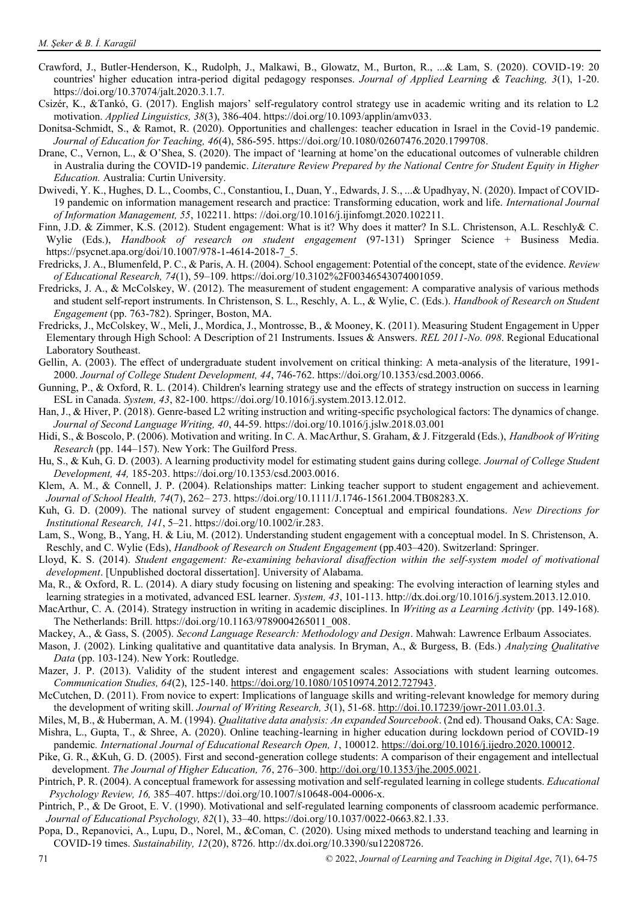- Crawford, J., Butler-Henderson, K., Rudolph, J., Malkawi, B., Glowatz, M., Burton, R., ...& Lam, S. (2020). COVID-19: 20 countries' higher education intra-period digital pedagogy responses. *Journal of Applied Learning & Teaching, 3*(1), 1-20. https://doi.org/10.37074/jalt.2020.3.1.7.
- Csizér, K., &Tankó, G. (2017). English majors' self-regulatory control strategy use in academic writing and its relation to L2 motivation. *Applied Linguistics, 38*(3), 386-404. https://doi.org/10.1093/applin/amv033.
- Donitsa-Schmidt, S., & Ramot, R. (2020). Opportunities and challenges: teacher education in Israel in the Covid-19 pandemic. *Journal of Education for Teaching, 46*(4), 586-595. https://doi.org/10.1080/02607476.2020.1799708.
- Drane, C., Vernon, L., & O'Shea, S. (2020). The impact of 'learning at home'on the educational outcomes of vulnerable children in Australia during the COVID-19 pandemic. *Literature Review Prepared by the National Centre for Student Equity in Higher Education.* Australia: Curtin University.
- Dwivedi, Y. K., Hughes, D. L., Coombs, C., Constantiou, I., Duan, Y., Edwards, J. S., ...& Upadhyay, N. (2020). Impact of COVID-19 pandemic on information management research and practice: Transforming education, work and life. *International Journal of Information Management, 55*, 102211. https: //doi.org/10.1016/j.ijinfomgt.2020.102211.
- Finn, J.D. & Zimmer, K.S. (2012). Student engagement: What is it? Why does it matter? In S.L. Christenson, A.L. Reschly& C. Wylie (Eds.), *Handbook of research on student engagement* (97-131) Springer Science + Business Media. [https://psycnet.apa.org/doi/10.1007/978-1-4614-2018-7\\_5.](https://psycnet.apa.org/doi/10.1007/978-1-4614-2018-7_5)
- Fredricks, J. A., Blumenfeld, P. C., & Paris, A. H. (2004). School engagement: Potential of the concept, state of the evidence. *Review of Educational Research, 74*(1), 59–109[. https://doi.org/10.3102%2F00346543074001059.](https://doi.org/10.3102%2F00346543074001059)
- Fredricks, J. A., & McColskey, W. (2012). The measurement of student engagement: A comparative analysis of various methods and student self-report instruments. In Christenson, S. L., Reschly, A. L., & Wylie, C. (Eds.). *Handbook of Research on Student Engagement* (pp. 763-782). Springer, Boston, MA.
- Fredricks, J., McColskey, W., Meli, J., Mordica, J., Montrosse, B., & Mooney, K. (2011). Measuring Student Engagement in Upper Elementary through High School: A Description of 21 Instruments. Issues & Answers. *REL 2011-No. 098*. Regional Educational Laboratory Southeast.
- Gellin, A. (2003). The effect of undergraduate student involvement on critical thinking: A meta-analysis of the literature, 1991- 2000. *Journal of College Student Development, 44*, 746-762. [https://doi.org/10.1353/csd.2003.0066.](https://doi.org/10.1353/csd.2003.0066)
- Gunning, P., & Oxford, R. L. (2014). Children's learning strategy use and the effects of strategy instruction on success in learning ESL in Canada. *System, 43*, 82-100. https://doi.org/10.1016/j.system.2013.12.012.
- Han, J., & Hiver, P. (2018). Genre-based L2 writing instruction and writing-specific psychological factors: The dynamics of change. *Journal of Second Language Writing, 40*, 44-59. https://doi.org/10.1016/j.jslw.2018.03.001
- Hidi, S., & Boscolo, P. (2006). Motivation and writing. In C. A. MacArthur, S. Graham, & J. Fitzgerald (Eds.), *Handbook of Writing Research* (pp. 144–157). New York: The Guilford Press.
- Hu, S., & Kuh, G. D. (2003). A learning productivity model for estimating student gains during college. *Journal of College Student Development, 44,* 185-203. [https://doi.org/10.1353/csd.2003.0016.](https://doi.org/10.1353/csd.2003.0016)
- Klem, A. M., & Connell, J. P. (2004). Relationships matter: Linking teacher support to student engagement and achievement. *Journal of School Health, 74*(7), 262– 273. [https://doi.org/10.1111/J.1746-1561.2004.TB08283.X.](https://doi.org/10.1111/J.1746-1561.2004.TB08283.X)
- Kuh, G. D. (2009). The national survey of student engagement: Conceptual and empirical foundations. *New Directions for Institutional Research, 141*, 5–21. https://doi.org/10.1002/ir.283.
- Lam, S., Wong, B., Yang, H. & Liu, M. (2012). Understanding student engagement with a conceptual model. In S. Christenson, A. Reschly, and C. Wylie (Eds), *Handbook of Research on Student Engagement* (pp.403–420). Switzerland: Springer.
- Lloyd, K. S. (2014). *Student engagement: Re-examining behavioral disaffection within the self-system model of motivational development*. [Unpublished doctoral dissertation]. University of Alabama.
- Ma, R., & Oxford, R. L. (2014). A diary study focusing on listening and speaking: The evolving interaction of learning styles and learning strategies in a motivated, advanced ESL learner. *System, 43*, 101-113. http://dx.doi.org/10.1016/j.system.2013.12.010.
- MacArthur, C. A. (2014). Strategy instruction in writing in academic disciplines. In *Writing as a Learning Activity* (pp. 149-168). The Netherlands: Brill. [https://doi.org/10.1163/9789004265011\\_008.](https://doi.org/10.1163/9789004265011_008)
- Mackey, A., & Gass, S. (2005). *Second Language Research: Methodology and Design*. Mahwah: Lawrence Erlbaum Associates.
- Mason, J. (2002). Linking qualitative and quantitative data analysis. In Bryman, A., & Burgess, B. (Eds.) *Analyzing Qualitative Data* (pp. 103-124). New York: Routledge.
- Mazer, J. P. (2013). Validity of the student interest and engagement scales: Associations with student learning outcomes. *Communication Studies, 64*(2), 125-140. [https://doi.org/10.1080/10510974.2012.727943.](https://doi.org/10.1080/10510974.2012.727943)
- McCutchen, D. (2011). From novice to expert: Implications of language skills and writing-relevant knowledge for memory during the development of writing skill. *Journal of Writing Research*, 3(1), 51-68[. http://doi.10.17239/jowr-2011.03.01.3.](http://doi.10.17239/jowr-2011.03.01.3)
- Miles, M, B., & Huberman, A. M. (1994). *Qualitative data analysis: An expanded Sourcebook*. (2nd ed). Thousand Oaks, CA: Sage. Mishra, L., Gupta, T., & Shree, A. (2020). Online teaching-learning in higher education during lockdown period of COVID-19 pandemic*. International Journal of Educational Research Open, 1*, 100012. [https://doi.org/10.1016/j.ijedro.2020.100012.](https://doi.org/10.1016/j.ijedro.2020.100012)
- Pike, G. R., &Kuh, G. D. (2005). First and second-generation college students: A comparison of their engagement and intellectual development. *The Journal of Higher Education, 76*, 276–300. [http://doi.org/10.1353/jhe.2005.0021.](http://doi.org/10.1353/jhe.2005.0021)
- Pintrich, P. R. (2004). A conceptual framework for assessing motivation and self-regulated learning in college students. *Educational Psychology Review, 16,* 385–407[. https://doi.org/10.1007/s10648-004-0006-x.](https://doi.org/10.1007/s10648-004-0006-x)
- Pintrich, P., & De Groot, E. V. (1990). Motivational and self-regulated learning components of classroom academic performance. *Journal of Educational Psychology, 82*(1), 33–40. https://doi.org/10.1037/0022-0663.82.1.33.
- Popa, D., Repanovici, A., Lupu, D., Norel, M., &Coman, C. (2020). Using mixed methods to understand teaching and learning in COVID-19 times. *Sustainability, 12*(20), 8726. http://dx.doi.org/10.3390/su12208726.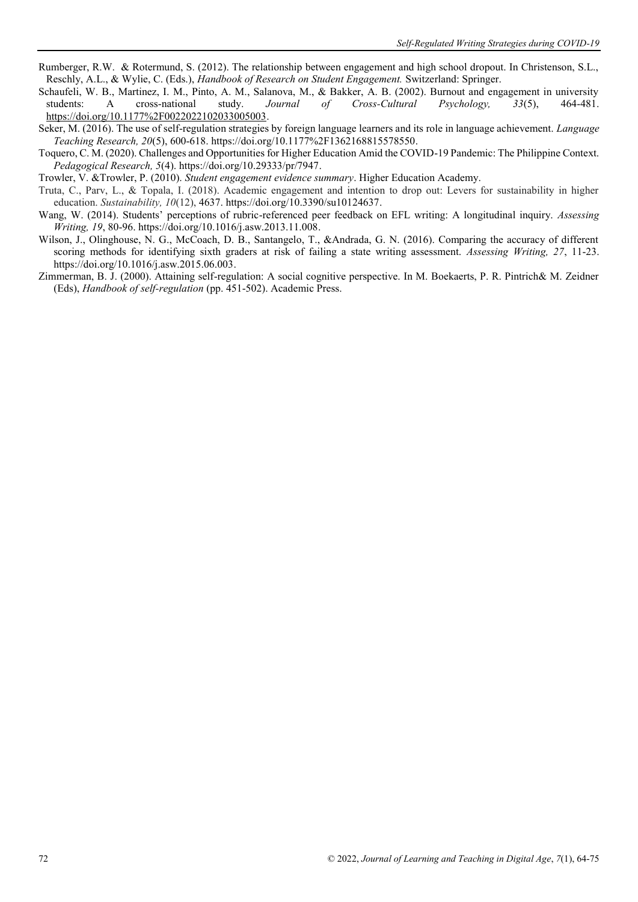- Rumberger, R.W. & Rotermund, S. (2012). The relationship between engagement and high school dropout. In Christenson, S.L., Reschly, A.L., & Wylie, C. (Eds.), *Handbook of Research on Student Engagement.* Switzerland: Springer.
- Schaufeli, W. B., Martinez, I. M., Pinto, A. M., Salanova, M., & Bakker, A. B. (2002). Burnout and engagement in university students: A cross-national study. *Journal of Cross-Cultural Psychology, 33*(5), 464-481. [https://doi.org/10.1177%2F0022022102033005003.](https://doi.org/10.1177%2F0022022102033005003)
- Seker, M. (2016). The use of self-regulation strategies by foreign language learners and its role in language achievement. *Language Teaching Research, 20*(5), 600-618. [https://doi.org/10.1177%2F1362168815578550.](https://doi.org/10.1177%2F1362168815578550)
- Toquero, C. M. (2020). Challenges and Opportunities for Higher Education Amid the COVID-19 Pandemic: The Philippine Context. *Pedagogical Research, 5*(4). [https://doi.org/10.29333/pr/7947.](https://doi.org/10.29333/pr/7947)
- Trowler, V. &Trowler, P. (2010). *Student engagement evidence summary*. Higher Education Academy.
- Truta, C., Parv, L., & Topala, I. (2018). Academic engagement and intention to drop out: Levers for sustainability in higher education. *Sustainability, 10*(12), 4637[. https://doi.org/10.3390/su10124637.](https://doi.org/10.3390/su10124637)
- Wang, W. (2014). Students' perceptions of rubric-referenced peer feedback on EFL writing: A longitudinal inquiry. *Assessing Writing, 19*, 80-96. [https://doi.org/10.1016/j.asw.2013.11.008.](https://doi.org/10.1016/j.asw.2013.11.008)
- Wilson, J., Olinghouse, N. G., McCoach, D. B., Santangelo, T., &Andrada, G. N. (2016). Comparing the accuracy of different scoring methods for identifying sixth graders at risk of failing a state writing assessment. *Assessing Writing, 27*, 11-23. [https://doi.org/10.1016/j.asw.2015.06.003.](https://doi.org/10.1016/j.asw.2015.06.003)
- Zimmerman, B. J. (2000). Attaining self-regulation: A social cognitive perspective. In M. Boekaerts, P. R. Pintrich& M. Zeidner (Eds), *Handbook of self-regulation* (pp. 451-502). Academic Press.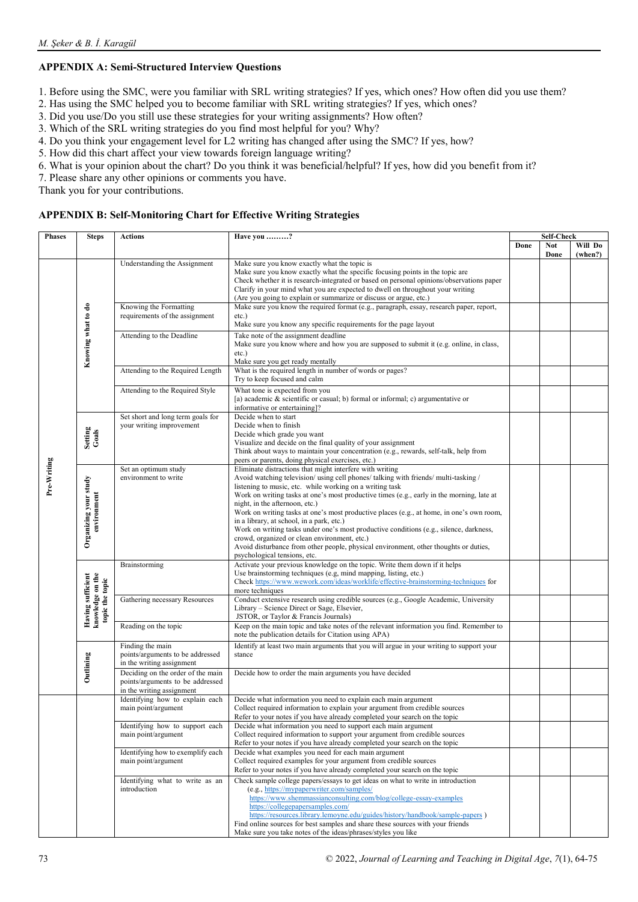# **APPENDIX A: Semi-Structured Interview Questions**

- 1. Before using the SMC, were you familiar with SRL writing strategies? If yes, which ones? How often did you use them?
- 2. Has using the SMC helped you to become familiar with SRL writing strategies? If yes, which ones?
- 3. Did you use/Do you still use these strategies for your writing assignments? How often?
- 3. Which of the SRL writing strategies do you find most helpful for you? Why?
- 4. Do you think your engagement level for L2 writing has changed after using the SMC? If yes, how?
- 5. How did this chart affect your view towards foreign language writing?
- 6. What is your opinion about the chart? Do you think it was beneficial/helpful? If yes, how did you benefit from it?
- 7. Please share any other opinions or comments you have.

Thank you for your contributions.

#### **APPENDIX B: Self-Monitoring Chart for Effective Writing Strategies**

| <b>Phases</b> | <b>Steps</b>                                                                                              | <b>Actions</b>                                                                                                                                                       | Have you ?                                                                                                                                                                                                                                                                                                                                                                       |      | Self-Check |         |
|---------------|-----------------------------------------------------------------------------------------------------------|----------------------------------------------------------------------------------------------------------------------------------------------------------------------|----------------------------------------------------------------------------------------------------------------------------------------------------------------------------------------------------------------------------------------------------------------------------------------------------------------------------------------------------------------------------------|------|------------|---------|
|               |                                                                                                           |                                                                                                                                                                      |                                                                                                                                                                                                                                                                                                                                                                                  | Done | <b>Not</b> | Will Do |
|               |                                                                                                           |                                                                                                                                                                      |                                                                                                                                                                                                                                                                                                                                                                                  |      | Done       | (when?) |
|               |                                                                                                           | Understanding the Assignment                                                                                                                                         | Make sure you know exactly what the topic is<br>Make sure you know exactly what the specific focusing points in the topic are<br>Check whether it is research-integrated or based on personal opinions/observations paper<br>Clarify in your mind what you are expected to dwell on throughout your writing<br>(Are you going to explain or summarize or discuss or argue, etc.) |      |            |         |
|               |                                                                                                           | Knowing the Formatting                                                                                                                                               | Make sure you know the required format (e.g., paragraph, essay, research paper, report,                                                                                                                                                                                                                                                                                          |      |            |         |
|               |                                                                                                           | requirements of the assignment                                                                                                                                       | $etc.$ )                                                                                                                                                                                                                                                                                                                                                                         |      |            |         |
|               |                                                                                                           |                                                                                                                                                                      | Make sure you know any specific requirements for the page layout                                                                                                                                                                                                                                                                                                                 |      |            |         |
|               | Knowing what to do                                                                                        | Attending to the Deadline                                                                                                                                            | Take note of the assignment deadline<br>Make sure you know where and how you are supposed to submit it (e.g. online, in class,<br>$etc.$ )<br>Make sure you get ready mentally                                                                                                                                                                                                   |      |            |         |
|               |                                                                                                           | Attending to the Required Length                                                                                                                                     | What is the required length in number of words or pages?                                                                                                                                                                                                                                                                                                                         |      |            |         |
|               |                                                                                                           |                                                                                                                                                                      | Try to keep focused and calm                                                                                                                                                                                                                                                                                                                                                     |      |            |         |
| Pre-Writing   |                                                                                                           | Attending to the Required Style                                                                                                                                      | What tone is expected from you<br>[a) academic & scientific or casual; b) formal or informal; c) argumentative or<br>informative or entertaining?                                                                                                                                                                                                                                |      |            |         |
|               |                                                                                                           | Set short and long term goals for                                                                                                                                    | Decide when to start                                                                                                                                                                                                                                                                                                                                                             |      |            |         |
|               |                                                                                                           | your writing improvement<br>Decide when to finish<br>Setting<br>Goals<br>Decide which grade you want<br>Visualize and decide on the final quality of your assignment |                                                                                                                                                                                                                                                                                                                                                                                  |      |            |         |
|               |                                                                                                           |                                                                                                                                                                      |                                                                                                                                                                                                                                                                                                                                                                                  |      |            |         |
|               |                                                                                                           |                                                                                                                                                                      | Think about ways to maintain your concentration (e.g., rewards, self-talk, help from                                                                                                                                                                                                                                                                                             |      |            |         |
|               |                                                                                                           |                                                                                                                                                                      | peers or parents, doing physical exercises, etc.)                                                                                                                                                                                                                                                                                                                                |      |            |         |
|               |                                                                                                           | Set an optimum study                                                                                                                                                 | Eliminate distractions that might interfere with writing                                                                                                                                                                                                                                                                                                                         |      |            |         |
|               | Organizing your study<br>environment                                                                      | environment to write                                                                                                                                                 | Avoid watching television/using cell phones/talking with friends/multi-tasking/                                                                                                                                                                                                                                                                                                  |      |            |         |
|               |                                                                                                           |                                                                                                                                                                      | listening to music, etc. while working on a writing task<br>Work on writing tasks at one's most productive times (e.g., early in the morning, late at                                                                                                                                                                                                                            |      |            |         |
|               |                                                                                                           |                                                                                                                                                                      | night, in the afternoon, etc.)                                                                                                                                                                                                                                                                                                                                                   |      |            |         |
|               |                                                                                                           |                                                                                                                                                                      | Work on writing tasks at one's most productive places (e.g., at home, in one's own room,                                                                                                                                                                                                                                                                                         |      |            |         |
|               |                                                                                                           |                                                                                                                                                                      | in a library, at school, in a park, etc.)                                                                                                                                                                                                                                                                                                                                        |      |            |         |
|               |                                                                                                           |                                                                                                                                                                      | Work on writing tasks under one's most productive conditions (e.g., silence, darkness,                                                                                                                                                                                                                                                                                           |      |            |         |
|               |                                                                                                           |                                                                                                                                                                      | crowd, organized or clean environment, etc.)<br>Avoid disturbance from other people, physical environment, other thoughts or duties,                                                                                                                                                                                                                                             |      |            |         |
|               |                                                                                                           |                                                                                                                                                                      | psychological tensions, etc.                                                                                                                                                                                                                                                                                                                                                     |      |            |         |
|               |                                                                                                           | Brainstorming                                                                                                                                                        | Activate your previous knowledge on the topic. Write them down if it helps                                                                                                                                                                                                                                                                                                       |      |            |         |
|               | Having sufficient<br>knowledge on the<br>topic the topic                                                  |                                                                                                                                                                      | Use brainstorming techniques (e.g, mind mapping, listing, etc.)                                                                                                                                                                                                                                                                                                                  |      |            |         |
|               |                                                                                                           |                                                                                                                                                                      | Check https://www.wework.com/ideas/worklife/effective-brainstorming-techniques for                                                                                                                                                                                                                                                                                               |      |            |         |
|               |                                                                                                           | Gathering necessary Resources                                                                                                                                        | more techniques<br>Conduct extensive research using credible sources (e.g., Google Academic, University                                                                                                                                                                                                                                                                          |      |            |         |
|               |                                                                                                           |                                                                                                                                                                      | Library – Science Direct or Sage, Elsevier,                                                                                                                                                                                                                                                                                                                                      |      |            |         |
|               |                                                                                                           |                                                                                                                                                                      | JSTOR, or Taylor & Francis Journals)                                                                                                                                                                                                                                                                                                                                             |      |            |         |
|               |                                                                                                           | Reading on the topic                                                                                                                                                 | Keep on the main topic and take notes of the relevant information you find. Remember to                                                                                                                                                                                                                                                                                          |      |            |         |
|               |                                                                                                           |                                                                                                                                                                      | note the publication details for Citation using APA)                                                                                                                                                                                                                                                                                                                             |      |            |         |
|               |                                                                                                           | Finding the main                                                                                                                                                     | Identify at least two main arguments that you will argue in your writing to support your                                                                                                                                                                                                                                                                                         |      |            |         |
|               |                                                                                                           | points/arguments to be addressed<br>in the writing assignment                                                                                                        | stance                                                                                                                                                                                                                                                                                                                                                                           |      |            |         |
|               | Outlining<br>Deciding on the order of the main<br>Decide how to order the main arguments you have decided |                                                                                                                                                                      |                                                                                                                                                                                                                                                                                                                                                                                  |      |            |         |
|               |                                                                                                           | points/arguments to be addressed                                                                                                                                     |                                                                                                                                                                                                                                                                                                                                                                                  |      |            |         |
|               |                                                                                                           | in the writing assignment                                                                                                                                            |                                                                                                                                                                                                                                                                                                                                                                                  |      |            |         |
|               |                                                                                                           | Identifying how to explain each                                                                                                                                      | Decide what information you need to explain each main argument                                                                                                                                                                                                                                                                                                                   |      |            |         |
|               |                                                                                                           | main point/argument                                                                                                                                                  | Collect required information to explain your argument from credible sources<br>Refer to your notes if you have already completed your search on the topic                                                                                                                                                                                                                        |      |            |         |
|               |                                                                                                           | Identifying how to support each                                                                                                                                      | Decide what information you need to support each main argument                                                                                                                                                                                                                                                                                                                   |      |            |         |
|               |                                                                                                           | main point/argument                                                                                                                                                  | Collect required information to support your argument from credible sources                                                                                                                                                                                                                                                                                                      |      |            |         |
|               |                                                                                                           |                                                                                                                                                                      | Refer to your notes if you have already completed your search on the topic                                                                                                                                                                                                                                                                                                       |      |            |         |
|               |                                                                                                           | Identifying how to exemplify each                                                                                                                                    | Decide what examples you need for each main argument                                                                                                                                                                                                                                                                                                                             |      |            |         |
|               |                                                                                                           | main point/argument                                                                                                                                                  | Collect required examples for your argument from credible sources<br>Refer to your notes if you have already completed your search on the topic                                                                                                                                                                                                                                  |      |            |         |
|               |                                                                                                           | Identifying what to write as an                                                                                                                                      | Check sample college papers/essays to get ideas on what to write in introduction                                                                                                                                                                                                                                                                                                 |      |            |         |
|               |                                                                                                           | introduction                                                                                                                                                         | (e.g., https://mypaperwriter.com/samples/                                                                                                                                                                                                                                                                                                                                        |      |            |         |
|               |                                                                                                           |                                                                                                                                                                      | https://www.shemmassianconsulting.com/blog/college-essay-examples                                                                                                                                                                                                                                                                                                                |      |            |         |
|               |                                                                                                           |                                                                                                                                                                      | https://collegepapersamples.com/                                                                                                                                                                                                                                                                                                                                                 |      |            |         |
|               |                                                                                                           |                                                                                                                                                                      | https://resources.library.lemoyne.edu/guides/history/handbook/sample-papers)<br>Find online sources for best samples and share these sources with your friends                                                                                                                                                                                                                   |      |            |         |
|               |                                                                                                           |                                                                                                                                                                      | Make sure you take notes of the ideas/phrases/styles you like                                                                                                                                                                                                                                                                                                                    |      |            |         |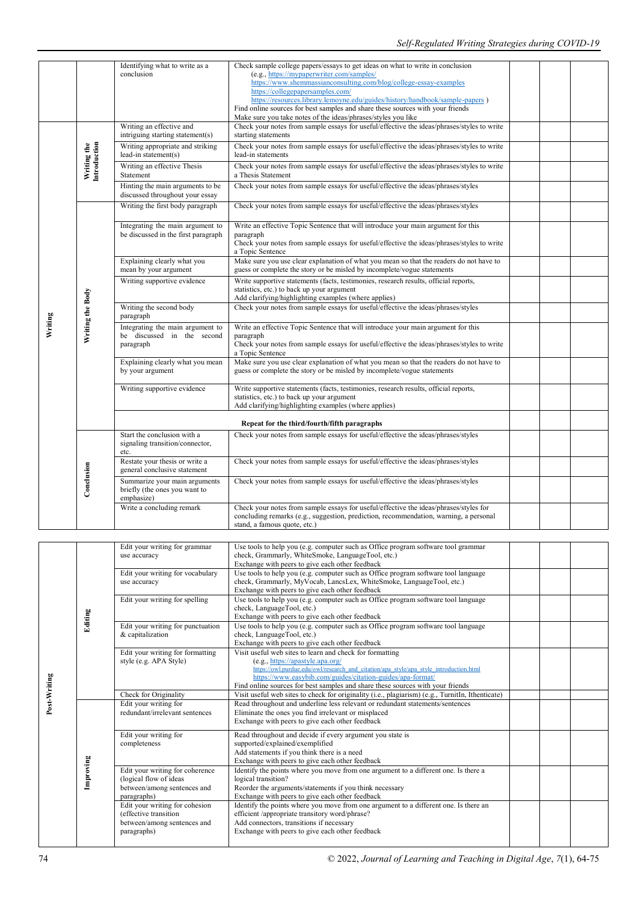|         |                             | Identifying what to write as a<br>conclusion                                 | Check sample college papers/essays to get ideas on what to write in conclusion<br>(e.g., https://mypaperwriter.com/samples/<br>https://www.shemmassianconsulting.com/blog/college-essay-examples<br>https://collegepapersamples.com/<br>https://resources.library.lemoyne.edu/guides/history/handbook/sample-papers)<br>Find online sources for best samples and share these sources with your friends<br>Make sure you take notes of the ideas/phrases/styles you like |  |  |
|---------|-----------------------------|------------------------------------------------------------------------------|-------------------------------------------------------------------------------------------------------------------------------------------------------------------------------------------------------------------------------------------------------------------------------------------------------------------------------------------------------------------------------------------------------------------------------------------------------------------------|--|--|
|         |                             | Writing an effective and<br>intriguing starting statement(s)                 | Check your notes from sample essays for useful/effective the ideas/phrases/styles to write<br>starting statements                                                                                                                                                                                                                                                                                                                                                       |  |  |
|         |                             | Writing appropriate and striking<br>lead-in statement(s)                     | Check your notes from sample essays for useful/effective the ideas/phrases/styles to write<br>lead-in statements                                                                                                                                                                                                                                                                                                                                                        |  |  |
|         | Writing the<br>Introduction | Writing an effective Thesis<br>Statement                                     | Check your notes from sample essays for useful/effective the ideas/phrases/styles to write<br>a Thesis Statement                                                                                                                                                                                                                                                                                                                                                        |  |  |
|         |                             | Hinting the main arguments to be<br>discussed throughout your essay          | Check your notes from sample essays for useful/effective the ideas/phrases/styles                                                                                                                                                                                                                                                                                                                                                                                       |  |  |
|         |                             | Writing the first body paragraph                                             | Check your notes from sample essays for useful/effective the ideas/phrases/styles                                                                                                                                                                                                                                                                                                                                                                                       |  |  |
|         |                             | Integrating the main argument to<br>be discussed in the first paragraph      | Write an effective Topic Sentence that will introduce your main argument for this<br>paragraph<br>Check your notes from sample essays for useful/effective the ideas/phrases/styles to write<br>a Topic Sentence                                                                                                                                                                                                                                                        |  |  |
|         | Writing the Body            | Explaining clearly what you<br>mean by your argument                         | Make sure you use clear explanation of what you mean so that the readers do not have to<br>guess or complete the story or be misled by incomplete/vogue statements                                                                                                                                                                                                                                                                                                      |  |  |
|         |                             | Writing supportive evidence                                                  | Write supportive statements (facts, testimonies, research results, official reports,<br>statistics, etc.) to back up your argument<br>Add clarifying/highlighting examples (where applies)                                                                                                                                                                                                                                                                              |  |  |
|         |                             | Writing the second body<br>paragraph                                         | Check your notes from sample essays for useful/effective the ideas/phrases/styles                                                                                                                                                                                                                                                                                                                                                                                       |  |  |
| Writing |                             | Integrating the main argument to<br>be discussed in the second<br>paragraph  | Write an effective Topic Sentence that will introduce your main argument for this<br>paragraph<br>Check your notes from sample essays for useful/effective the ideas/phrases/styles to write<br>a Topic Sentence                                                                                                                                                                                                                                                        |  |  |
|         |                             | Explaining clearly what you mean<br>by your argument                         | Make sure you use clear explanation of what you mean so that the readers do not have to<br>guess or complete the story or be misled by incomplete/vogue statements                                                                                                                                                                                                                                                                                                      |  |  |
|         |                             | Writing supportive evidence                                                  | Write supportive statements (facts, testimonies, research results, official reports,<br>statistics, etc.) to back up your argument<br>Add clarifying/highlighting examples (where applies)                                                                                                                                                                                                                                                                              |  |  |
|         |                             |                                                                              |                                                                                                                                                                                                                                                                                                                                                                                                                                                                         |  |  |
|         |                             | Start the conclusion with a<br>signaling transition/connector,<br>etc.       | Check your notes from sample essays for useful/effective the ideas/phrases/styles                                                                                                                                                                                                                                                                                                                                                                                       |  |  |
|         |                             | Restate your thesis or write a<br>general conclusive statement               | Check your notes from sample essays for useful/effective the ideas/phrases/styles                                                                                                                                                                                                                                                                                                                                                                                       |  |  |
|         | Conclusion                  | Summarize your main arguments<br>briefly (the ones you want to<br>emphasize) | Check your notes from sample essays for useful/effective the ideas/phrases/styles                                                                                                                                                                                                                                                                                                                                                                                       |  |  |
|         |                             | Write a concluding remark                                                    | Check your notes from sample essays for useful/effective the ideas/phrases/styles for<br>concluding remarks (e.g., suggestion, prediction, recommendation, warning, a personal<br>stand, a famous quote, etc.)                                                                                                                                                                                                                                                          |  |  |

| Edit your writing for grammar     | Use tools to help you (e.g. computer such as Office program software tool grammar                                                                       |                                                                                                                                                                                                                                                                                                                                                                                                                                                                                                                                                                                                                                                                                                                  |  |
|-----------------------------------|---------------------------------------------------------------------------------------------------------------------------------------------------------|------------------------------------------------------------------------------------------------------------------------------------------------------------------------------------------------------------------------------------------------------------------------------------------------------------------------------------------------------------------------------------------------------------------------------------------------------------------------------------------------------------------------------------------------------------------------------------------------------------------------------------------------------------------------------------------------------------------|--|
| use accuracy                      | check, Grammarly, WhiteSmoke, LanguageTool, etc.)                                                                                                       |                                                                                                                                                                                                                                                                                                                                                                                                                                                                                                                                                                                                                                                                                                                  |  |
|                                   | Exchange with peers to give each other feedback                                                                                                         |                                                                                                                                                                                                                                                                                                                                                                                                                                                                                                                                                                                                                                                                                                                  |  |
| Edit your writing for vocabulary  | Use tools to help you (e.g. computer such as Office program software tool language                                                                      |                                                                                                                                                                                                                                                                                                                                                                                                                                                                                                                                                                                                                                                                                                                  |  |
| use accuracy                      | check, Grammarly, MyVocab, LancsLex, WhiteSmoke, LanguageTool, etc.)                                                                                    |                                                                                                                                                                                                                                                                                                                                                                                                                                                                                                                                                                                                                                                                                                                  |  |
|                                   | Exchange with peers to give each other feedback                                                                                                         |                                                                                                                                                                                                                                                                                                                                                                                                                                                                                                                                                                                                                                                                                                                  |  |
| Edit your writing for spelling    |                                                                                                                                                         |                                                                                                                                                                                                                                                                                                                                                                                                                                                                                                                                                                                                                                                                                                                  |  |
|                                   | check, LanguageTool, etc.)                                                                                                                              |                                                                                                                                                                                                                                                                                                                                                                                                                                                                                                                                                                                                                                                                                                                  |  |
|                                   | Exchange with peers to give each other feedback                                                                                                         |                                                                                                                                                                                                                                                                                                                                                                                                                                                                                                                                                                                                                                                                                                                  |  |
| Edit your writing for punctuation |                                                                                                                                                         |                                                                                                                                                                                                                                                                                                                                                                                                                                                                                                                                                                                                                                                                                                                  |  |
| & capitalization                  | check, LanguageTool, etc.)                                                                                                                              |                                                                                                                                                                                                                                                                                                                                                                                                                                                                                                                                                                                                                                                                                                                  |  |
|                                   | Exchange with peers to give each other feedback                                                                                                         |                                                                                                                                                                                                                                                                                                                                                                                                                                                                                                                                                                                                                                                                                                                  |  |
|                                   | Visit useful web sites to learn and check for formatting                                                                                                |                                                                                                                                                                                                                                                                                                                                                                                                                                                                                                                                                                                                                                                                                                                  |  |
| style (e.g. APA Style)            | (e.g., https://apastyle.apa.org/                                                                                                                        |                                                                                                                                                                                                                                                                                                                                                                                                                                                                                                                                                                                                                                                                                                                  |  |
|                                   |                                                                                                                                                         |                                                                                                                                                                                                                                                                                                                                                                                                                                                                                                                                                                                                                                                                                                                  |  |
|                                   |                                                                                                                                                         |                                                                                                                                                                                                                                                                                                                                                                                                                                                                                                                                                                                                                                                                                                                  |  |
|                                   |                                                                                                                                                         |                                                                                                                                                                                                                                                                                                                                                                                                                                                                                                                                                                                                                                                                                                                  |  |
|                                   |                                                                                                                                                         |                                                                                                                                                                                                                                                                                                                                                                                                                                                                                                                                                                                                                                                                                                                  |  |
|                                   |                                                                                                                                                         |                                                                                                                                                                                                                                                                                                                                                                                                                                                                                                                                                                                                                                                                                                                  |  |
|                                   |                                                                                                                                                         |                                                                                                                                                                                                                                                                                                                                                                                                                                                                                                                                                                                                                                                                                                                  |  |
|                                   |                                                                                                                                                         |                                                                                                                                                                                                                                                                                                                                                                                                                                                                                                                                                                                                                                                                                                                  |  |
| Edit your writing for             | Read throughout and decide if every argument you state is                                                                                               |                                                                                                                                                                                                                                                                                                                                                                                                                                                                                                                                                                                                                                                                                                                  |  |
| completeness                      | supported/explained/exemplified                                                                                                                         |                                                                                                                                                                                                                                                                                                                                                                                                                                                                                                                                                                                                                                                                                                                  |  |
|                                   | Add statements if you think there is a need                                                                                                             |                                                                                                                                                                                                                                                                                                                                                                                                                                                                                                                                                                                                                                                                                                                  |  |
|                                   | Exchange with peers to give each other feedback                                                                                                         |                                                                                                                                                                                                                                                                                                                                                                                                                                                                                                                                                                                                                                                                                                                  |  |
|                                   | Identify the points where you move from one argument to a different one. Is there a                                                                     |                                                                                                                                                                                                                                                                                                                                                                                                                                                                                                                                                                                                                                                                                                                  |  |
| (logical flow of ideas)           | logical transition?                                                                                                                                     |                                                                                                                                                                                                                                                                                                                                                                                                                                                                                                                                                                                                                                                                                                                  |  |
| between/among sentences and       | Reorder the arguments/statements if you think necessary                                                                                                 |                                                                                                                                                                                                                                                                                                                                                                                                                                                                                                                                                                                                                                                                                                                  |  |
| paragraphs)                       | Exchange with peers to give each other feedback                                                                                                         |                                                                                                                                                                                                                                                                                                                                                                                                                                                                                                                                                                                                                                                                                                                  |  |
| Edit your writing for cohesion    | Identify the points where you move from one argument to a different one. Is there an                                                                    |                                                                                                                                                                                                                                                                                                                                                                                                                                                                                                                                                                                                                                                                                                                  |  |
| (effective transition             | efficient /appropriate transitory word/phrase?                                                                                                          |                                                                                                                                                                                                                                                                                                                                                                                                                                                                                                                                                                                                                                                                                                                  |  |
| between/among sentences and       | Add connectors, transitions if necessary                                                                                                                |                                                                                                                                                                                                                                                                                                                                                                                                                                                                                                                                                                                                                                                                                                                  |  |
| paragraphs)                       | Exchange with peers to give each other feedback                                                                                                         |                                                                                                                                                                                                                                                                                                                                                                                                                                                                                                                                                                                                                                                                                                                  |  |
|                                   |                                                                                                                                                         |                                                                                                                                                                                                                                                                                                                                                                                                                                                                                                                                                                                                                                                                                                                  |  |
| Editing<br>Improving              | Edit your writing for formatting<br>Check for Originality<br>Edit your writing for<br>redundant/irrelevant sentences<br>Edit your writing for coherence | Use tools to help you (e.g. computer such as Office program software tool language<br>Use tools to help you (e.g. computer such as Office program software tool language<br>https://owl.purdue.edu/owl/research and citation/apa style/apa style introduction.html<br>https://www.easybib.com/guides/citation-guides/apa-format/<br>Find online sources for best samples and share these sources with your friends<br>Visit useful web sites to check for originality (i.e., plagiarism) (e.g., Turnith, Ithenticate)<br>Read throughout and underline less relevant or redundant statements/sentences<br>Eliminate the ones you find irrelevant or misplaced<br>Exchange with peers to give each other feedback |  |